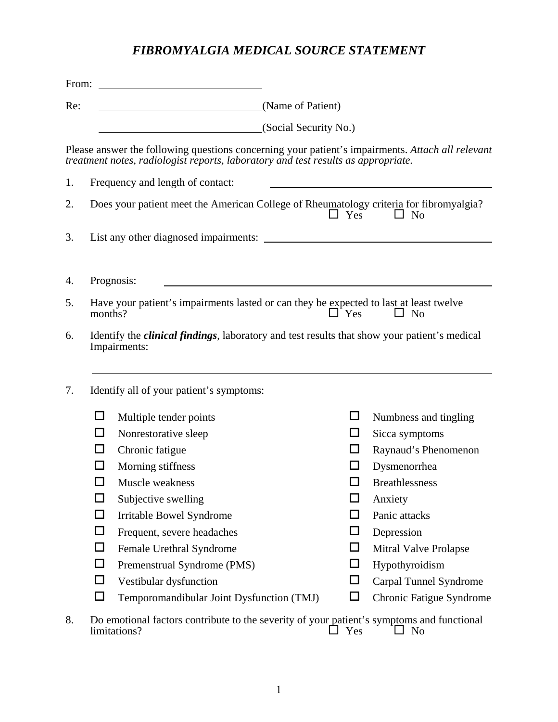## *FIBROMYALGIA MEDICAL SOURCE STATEMENT*

| From: |         | <u> 1989 - John Harry Harry Harry Harry Harry Harry Harry Harry Harry Harry Harry Harry Harry Harry Harry Harry</u>                                                                   |                       |        |                          |
|-------|---------|---------------------------------------------------------------------------------------------------------------------------------------------------------------------------------------|-----------------------|--------|--------------------------|
| Re:   |         | (Name of Patient)                                                                                                                                                                     |                       |        |                          |
|       |         |                                                                                                                                                                                       | (Social Security No.) |        |                          |
|       |         | Please answer the following questions concerning your patient's impairments. Attach all relevant<br>treatment notes, radiologist reports, laboratory and test results as appropriate. |                       |        |                          |
| 1.    |         | Frequency and length of contact:                                                                                                                                                      |                       |        |                          |
| 2.    |         | Does your patient meet the American College of Rheumatology criteria for fibromyalgia?                                                                                                | $\Box$ Yes            |        | $\Box$ No                |
| 3.    |         |                                                                                                                                                                                       |                       |        |                          |
| 4.    |         | Prognosis:                                                                                                                                                                            |                       |        |                          |
| 5.    | months? | Have your patient's impairments lasted or can they be expected to last at least twelve                                                                                                | $\Box$ Yes            |        | $\Box$ No                |
| 6.    |         | Identify the <i>clinical findings</i> , laboratory and test results that show your patient's medical<br>Impairments:                                                                  |                       |        |                          |
| 7.    |         | Identify all of your patient's symptoms:                                                                                                                                              |                       |        |                          |
|       | □       | Multiple tender points                                                                                                                                                                |                       | ப      | Numbness and tingling    |
|       | U       | Nonrestorative sleep                                                                                                                                                                  |                       | ப      | Sicca symptoms           |
|       | ப       | Chronic fatigue                                                                                                                                                                       |                       | ப      | Raynaud's Phenomenon     |
|       | ΙI      | Morning stiffness                                                                                                                                                                     |                       | ப      | Dysmenorrhea             |
|       | $\Box$  | Muscle weakness                                                                                                                                                                       |                       |        | <b>Breathlessness</b>    |
|       | □       | Subjective swelling                                                                                                                                                                   |                       | □      | Anxiety                  |
|       | $\Box$  | Irritable Bowel Syndrome                                                                                                                                                              |                       | □      | Panic attacks            |
|       | □       | Frequent, severe headaches                                                                                                                                                            |                       | $\Box$ | Depression               |
|       | $\Box$  | Female Urethral Syndrome                                                                                                                                                              |                       | □      | Mitral Valve Prolapse    |
|       | $\Box$  | Premenstrual Syndrome (PMS)                                                                                                                                                           |                       | $\Box$ | Hypothyroidism           |
|       | □       | Vestibular dysfunction                                                                                                                                                                |                       | □      | Carpal Tunnel Syndrome   |
|       | $\Box$  | Temporomandibular Joint Dysfunction (TMJ)                                                                                                                                             |                       | □      | Chronic Fatigue Syndrome |
| 8     |         | Do emotional factors contribute to the severity of your patient's symptoms and functional                                                                                             |                       |        |                          |

8. Do emotional factors contribute to the severity of your patient's symptoms and functional  $\Box$  Yes  $\Box$  No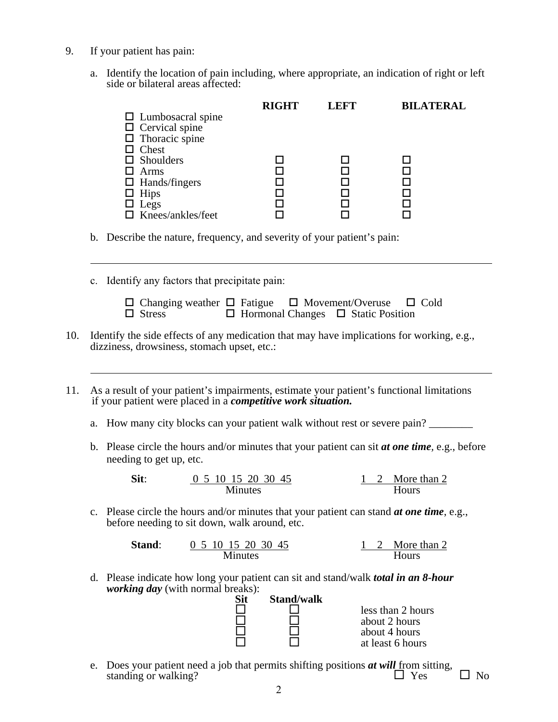9. If your patient has pain:

l

 $\overline{a}$ 

a. Identify the location of pain including, where appropriate, an indication of right or left side or bilateral areas affected:

|                          | <b>RIGHT</b> | <b>LEFT</b> | <b>BILATERAL</b> |
|--------------------------|--------------|-------------|------------------|
| $\Box$ Lumbosacral spine |              |             |                  |
| $\Box$ Cervical spine    |              |             |                  |
| $\Box$ Thoracic spine    |              |             |                  |
| $\Box$ Chest             |              |             |                  |
| $\Box$ Shoulders         |              |             |                  |
| $\Box$ Arms              |              |             |                  |
| $\Box$ Hands/fingers     |              |             |                  |
| $\Box$ Hips              |              |             |                  |
| $\Box$ Legs              |              |             |                  |
| $\Box$ Knees/ankles/feet |              |             |                  |
|                          |              |             |                  |

b. Describe the nature, frequency, and severity of your patient's pain:

c. Identify any factors that precipitate pain:

| $\Box$ Changing weather $\Box$ Fatigue $\Box$ Movement/Overuse $\Box$ Cold |  |  |                                                |  |
|----------------------------------------------------------------------------|--|--|------------------------------------------------|--|
| $\Box$ Stress                                                              |  |  | $\Box$ Hormonal Changes $\Box$ Static Position |  |

- 10. Identify the side effects of any medication that may have implications for working, e.g., dizziness, drowsiness, stomach upset, etc.:
- 11. As a result of your patient's impairments, estimate your patient's functional limitations if your patient were placed in a *competitive work situation.*

a. How many city blocks can your patient walk without rest or severe pain?

b. Please circle the hours and/or minutes that your patient can sit *at one time,* e.g., before needing to get up, etc.

**Sit**:  $\frac{0}{5}$  10 15 20 30 45 1 2 More than 2 Minutes Hours

c. Please circle the hours and/or minutes that your patient can stand *at one time*, e.g., before needing to sit down, walk around, etc.

**Stand**: 0 5 10 15 20 30 45 1 2 More than 2 Minutes Hours

d. Please indicate how long your patient can sit and stand/walk *total in an 8-hour working day* (with normal breaks):

| Sit | <b>Stand/walk</b> |                   |
|-----|-------------------|-------------------|
|     |                   | less than 2 hours |
|     |                   | about 2 hours     |
|     |                   | about 4 hours     |
|     |                   | at least 6 hours  |

e. Does your patient need a job that permits shifting positions  $\boldsymbol{at}$  will from sitting, standing or walking? standing or walking?  $\Box$  Yes  $\Box$  No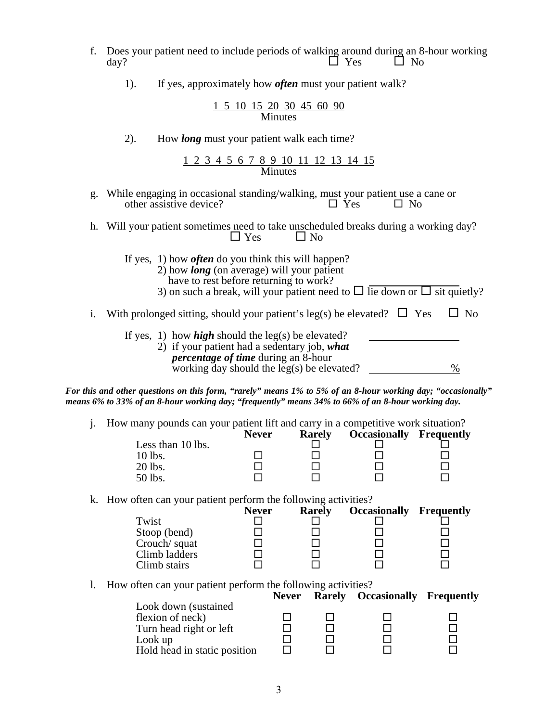- f. Does your patient need to include periods of walking around during an 8-hour working day? day?  $\Box$  Yes  $\Box$  No
	- 1). If yes, approximately how *often* must your patient walk?

|                |  |  | 1 5 10 15 20 30 45 60 90 |  |  |  |  |  |  |
|----------------|--|--|--------------------------|--|--|--|--|--|--|
| <b>Minutes</b> |  |  |                          |  |  |  |  |  |  |

2). How *long* must your patient walk each time?

1 2 3 4 5 6 7 8 9 10 11 12 13 14 15 Minutes

- g. While engaging in occasional standing/walking, must your patient use a cane or other assistive device?  $\square$  Yes  $\square$  No other assistive device?  $\Box$  Yes  $\Box$  No
- h. Will your patient sometimes need to take unscheduled breaks during a working day?<br> $\Box$  Yes  $\Box$  No  $\Box$  Yes
	- If yes, 1) how *often* do you think this will happen? 2) how *long* (on average) will your patient have to rest before returning to work?
		- 3) on such a break, will your patient need to  $\Box$  lie down or  $\Box$  sit quietly?
- i. With prolonged sitting, should your patient's leg(s) be elevated?  $\Box$  Yes  $\Box$  No

| If yes, 1) how <i>high</i> should the leg(s) be elevated? |               |
|-----------------------------------------------------------|---------------|
| 2) if your patient had a sedentary job, what              |               |
| <i>percentage of time during an 8-hour</i>                |               |
| working day should the leg(s) be elevated?                | $\frac{0}{6}$ |

*For this and other questions on this form, "rarely" means 1% to 5% of an 8-hour working day; "occasionally" means 6% to 33% of an 8-hour working day; "frequently" means 34% to 66% of an 8-hour working day.* 

j. How many pounds can your patient lift and carry in a competitive work situation?

|                   | <b>Never</b> | <b>Rarely</b> | <b>Occasionally Frequently</b> |  |
|-------------------|--------------|---------------|--------------------------------|--|
| Less than 10 lbs. |              |               |                                |  |
| $10$ lbs.         |              |               |                                |  |
| 20 lbs.           |              |               |                                |  |
| 50 lbs.           |              |               |                                |  |

k. How often can your patient perform the following activities?

|               | <b>Never</b> | <b>Rarely</b> | <b>Occasionally Frequently</b> |  |
|---------------|--------------|---------------|--------------------------------|--|
| Twist         |              |               |                                |  |
| Stoop (bend)  |              |               |                                |  |
| Crouch/squat  |              |               |                                |  |
| Climb ladders |              |               |                                |  |
| Climb stairs  |              |               |                                |  |

l. How often can your patient perform the following activities?

|                              | <b>Never</b> | <b>Rarely Occasionally Frequently</b> |  |
|------------------------------|--------------|---------------------------------------|--|
| Look down (sustained)        |              |                                       |  |
| flexion of neck)             |              |                                       |  |
| Turn head right or left      |              |                                       |  |
| Look up                      |              |                                       |  |
| Hold head in static position |              |                                       |  |